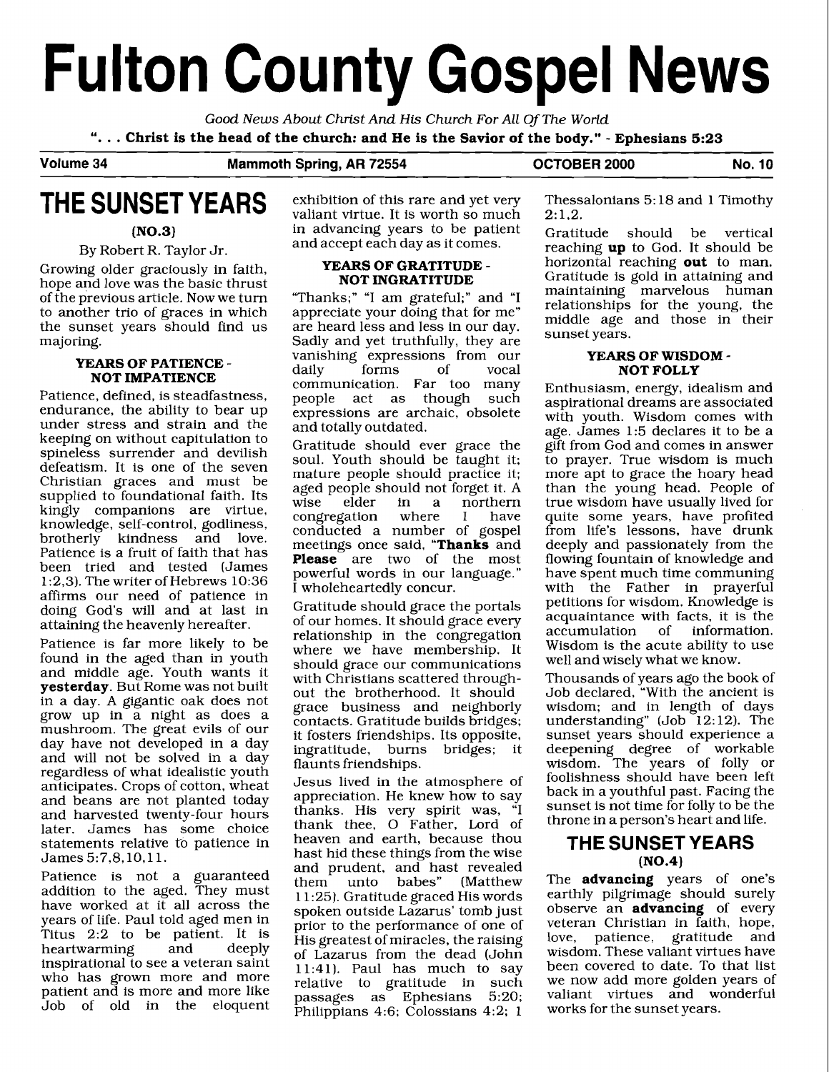# **Fulton County Gospel News**

Good **News** About Christ And *His* Church For All Of The World ". . . **Christ is the head of the church: and He is the Savior of the body."** - **Ephesians 5:23** 

**Volume 34 Mammoth Spring, AR 72554 OCTOBER 2000 No. 10** 

# **THE SUNSET YEARS**

**(N0.3)** 

#### By Robert R. Taylor Jr.

Growing older graciously in faith, hope and love was the basic thrust of the previous article. Now we turn to another trio of graces in which the sunset years should find us majoring.

#### **YEARS OF PATIENCE** - **NOT IMPATIENCE**

Patience, defined, is steadfastness, endurance, the ability to bear up under stress and strain and the keeping on without capitulation to spineless surrender and devilish defeatism. It is one of the seven Christian graces and must be supplied to foundational faith. Its kingly companions are virtue, knowledge, self-control, godliness, brotherly kindness and love. Patience is a fruit of faith that has been tried and tested (James 1:2,3). The writer of Hebrews 10:36 affirms our need of patience in doing God's will and at last in attaining the heavenly hereafter.

Patience is far more likely to be found in the aged than in youth and middle age. Youth wants it **yesterday.** But Rome was not built in a day. A gigantic oak does not grow up in a night as does a mushroom. The great evils of our day have not developed in a day and will not be solved in a day regardless of what idealistic youth anticipates. Crops of cotton, wheat and beans are not planted today and harvested twenty-four hours later. James has some choice statements relative to patience in James 5:7,8,10,ll.

Patience is not a guaranteed addition to the aged. They must have worked at it all across the years of life. Paul told aged men in Titus 2:2 to be patient. It is<br>heartwarming and deeply heartwarming inspirational to see a veteran saint who has grown more and more patient and is more and more like Job of old in the eloquent exhibition of this rare and yet very valiant virtue. It is worth so much in advancing years to be patient and accept each day as it comes.

## **YEARS OF GRATITUDE** - **NOT INGRATITUDE**

"Thanks;" **"I** am grateful;" and "I appreciate your doing that for me" are heard less and less in our day. Sadly and yet truthfully, they are vanishing expressions from our<br>daily forms of vocal daily forms of vocal communication. Far too many people act as though such expressions are archaic, obsolete and totally outdated.

Gratitude should ever grace the soul. Youth should be taught it; mature people should practice it; aged people should not forget it. A<br>wise elder in a northern in a northern<br>where I have congregation conducted a number of gospel meetings once said, **"Thanks** and **Please** are two of the most powerful words in our language." I wholeheartedly concur.

Gratitude should grace the portals of our homes. It should grace every relationship in the congregation where we have membership. It should grace our communications with Christians scattered throughout the brotherhood. It should grace business and neighborly contacts. Gratitude builds bridges; it fosters friendships. Its opposite, ingratitude, burns bridges; it flaunts friendships.

Jesus lived in the atmosphere of appreciation. He knew how to say thanks. His very spirit was, "I thank thee, 0 Father, Lord of heaven and earth, because thou hast hid these things from the wise and prudent, and hast revealed<br>them unto babes" (Matthew (Matthew 11:25). Gratitude graced His words spoken outside Lazarus' tomb just prior to the performance of one of His greatest of miracles, the raising of Lazarus from the dead (John 11:41). Paul has much to say relative to gratitude in such passages as Ephesians 5:20; Philippians 4:6; Colossians 4:2; 1

Thessalonians 5: 18 and 1 Timothy  $2: 1.2.$ 

Gratitude should be vertical reaching **up** to God. It should be horizontal reaching **out** to man. Gratitude is gold in attaining and maintaining marvelous human relationships for the young, the middle age and those in their sunset years.

#### **YEARS OF WISDOM** - **NOT FOLLY**

Enthusiasm, energy, idealism and aspirational dreams are associated with youth. Wisdom comes with age. James 1:5 declares it to be a gift from God and comes in answer to prayer. True wisdom is much more apt to grace the hoary head than the young head. People of true wisdom have usually lived for quite some years, have profited from life's lessons, have drunk deeply and passionately from the flowing fountain of knowledge and have spent much time communing with the Father in prayerful petitions for wisdom. Knowledge is acquaintance with facts, it is the accumulation of information. accumulation Wisdom is the acute ability to use well and wisely what we know.

Thousands of years ago the book of Job declared, "With the ancient is wisdom; and in length of days understanding" (Job  $12:12$ ). The sunset years should experience a deepening degree of workable wisdom. The years of folly or foolishness should have been left back in a youthful past. Facing the sunset is not time for folly to be the throne in a person's heart and life.

### **THE SUNSET YEARS (N0.4)**

The **advancing** years of one's earthly pilgrimage should surely observe an **advancing** of every veteran Christian in faith, hope, love, patience, gratitude and wisdom. These valiant virtues have been covered to date. To that list we now add more golden years of valiant virtues and wonderful works for the sunset years.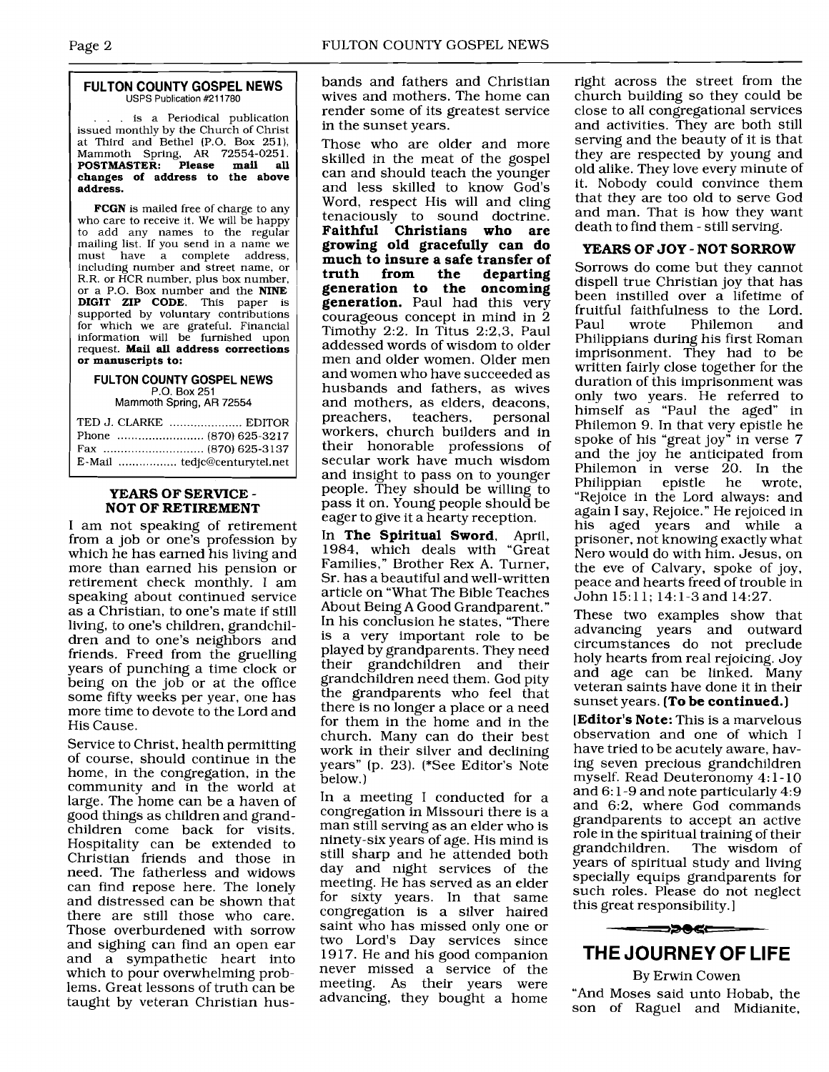#### **FULTON COUNTY GOSPEL NEWS**  USPS Publication #211780

... is a Periodical publication issued monthly by the Church of Christ at Third and Bethel (P.O. Box 251), Mammoth Spring, **AR** 72554-025 1. **POSTMASTER: Please mail all** <sup>1</sup>**changes of address to the above address.** 

**FCGN** is mailed free of charge to any who care to receive it. We will be happy to add any names to the regular mailing list. If you send in a name we<br>must have a complete address have a complete address, including number and street name, or R.R. or HCR number, plus box number, or a P.O. Box number and the **NINE DIGIT ZIP CODE.** This paper is supported by voluntary contributions for which we are grateful. Financial information will be furnished upon request. **Mail all address corrections or manuscripts to:** 

#### **FULTON COUNTY GOSPEL NEWS P.O.** Box 251

Mammoth Spring, AR 72554

| TED J. CLARKE  EDITOR |
|-----------------------|
|                       |
|                       |
|                       |

# **YEARS OF SERVICE** - **NOT OF RETIREMENT**

I am not speaking of retirement from a job or one's profession by which he has earned his living and more than earned his pension or retirement check monthly. I am speaking about continued service as a Christian, to one's mate if still living, to one's children, grandchildren and to one's neighbors and friends. Freed from the gruelling years of punching a time clock or being on the job or at the office some fifty weeks per year, one has more time to devote to the Lord and His Cause.

Service to Christ, health permitting of course, should continue in the home, in the congregation, in the community and in the world at large. The home can be a haven of good things as children and grandchildren come back for visits. Hospitality can be extended to Christian friends and those in need. The fatherless and widows can find repose here. The lonely and distressed can be shown that there are still those who care. Those overburdened with sorrow and sighing can find an open ear and a sympathetic heart into which to pour overwhelming problems. Great lessons of truth can be taught by veteran Christian husbands and fathers and Christian wives and mothers. The home can render some of its greatest service in the sunset years.

Those who are older and more skilled in the meat of the gospel can and should teach the younger and less skilled to know God's Word, respect His will and cling tenaciously to sound doctrine. **Faithful Christians who are growing old gracefully can do much to insure a safe transfer of**  departing **generation to the oncoming generation.** Paul had this very courageous concept in mind in 2 Timothy 2:2. In Titus 2:2,3, Paul addessed words of wisdom to older men and older women. Older men and women who have succeeded as husbands and fathers, as wives and mothers, as elders, deacons,<br>preachers, teachers, personal teachers, personal workers, church builders and in their honorable professions of secular work have much wisdom and insight to pass on to younger people. They should be willing to pass it on. Young people should be eager to give it a hearty reception.

In **The Spiritual Sword,** April, 1984, which deals with "Great Families," Brother Rex A. Turner, Sr. has a beautiful and well-written article on "What The Bible Teaches About Being A Good Grandparent." In his conclusion he states, "There is a very important role to be played by grandparents. They need their grandchildren and their grandchildren need them. God pity the grandparents who feel that there is no longer a place or a need for them in the home and in the church. Many can do their best work in their silver and declining years" (p. 23). (\*See Editor's Note below.)

In a meeting I conducted for a congregation in Missouri there is a man still serving as an elder who is ninety-six years of age. His mind is still sharp and he attended both day and night services of the meeting. He has served as an elder for sixty years. In that same congregation is a silver haired saint who has missed only one or two Lord's Day services since 1917. He and his good companion never missed a service of the meeting. As their years were advancing, they bought a home

right across the street from the church building so they could be close to all congregational services and activities. They are both still serving and the beauty of it is that they are respected by young and old alike. They love every minute of it. Nobody could convince them that they are too old to serve God and man. That is how they want death to find them - still serving.

#### **YEARS OF JOY** - **NOT SORROW**

Sorrows do come but they cannot dispel1 true Christian joy that has been instilled over a lifetime of fruitful faithfulness to the Lord.<br>Paul wrote Philemon and Philemon Philippians during his first Roman imprisonment. They had to be written fairly close together for the duration of this imprisonment was only two years. He referred to himself as "Paul the aged" in Philemon 9. In that very epistle he spoke of his "great joy" in verse 7 and the joy he anticipated from Philemon in verse 20. In the<br>Philippian epistle he wrote, Philippian "Rejoice in the Lord always: and again I say, Rejoice." He rejoiced in his aged years and while a prisoner, not knowing exactly what Nero would do with him. Jesus, on the eve of Calvary, spoke of joy, peace and hearts freed of trouble in John 15:ll; 14:l-3 and 14:27.

These two examples show that advancing years and outward circumstances do not preclude holy hearts from real rejoicing. Joy and age can be linked. Many veteran saints have done it in their sunset years. **(To be continued.)** 

**[Editor's Note:** This is a marvelous observation and one of which I have tried to be acutely aware, having seven precious grandchildren myself. Read Deuteronomy 4: 1 - 10 and 6: 1-9 and note particularly 4:9 and 6:2, where God commands grandparents to accept an active role in the spiritual training of their<br>grandchildren. The wisdom of The wisdom of years of spiritual study and living specially equips grandparents for such roles. Please do not neglect this great responsibility. I



## **THE JOURNEY OF LIFE**

By Erwin Cowen "And Moses said unto Hobab, the son of Raguel and Midianite,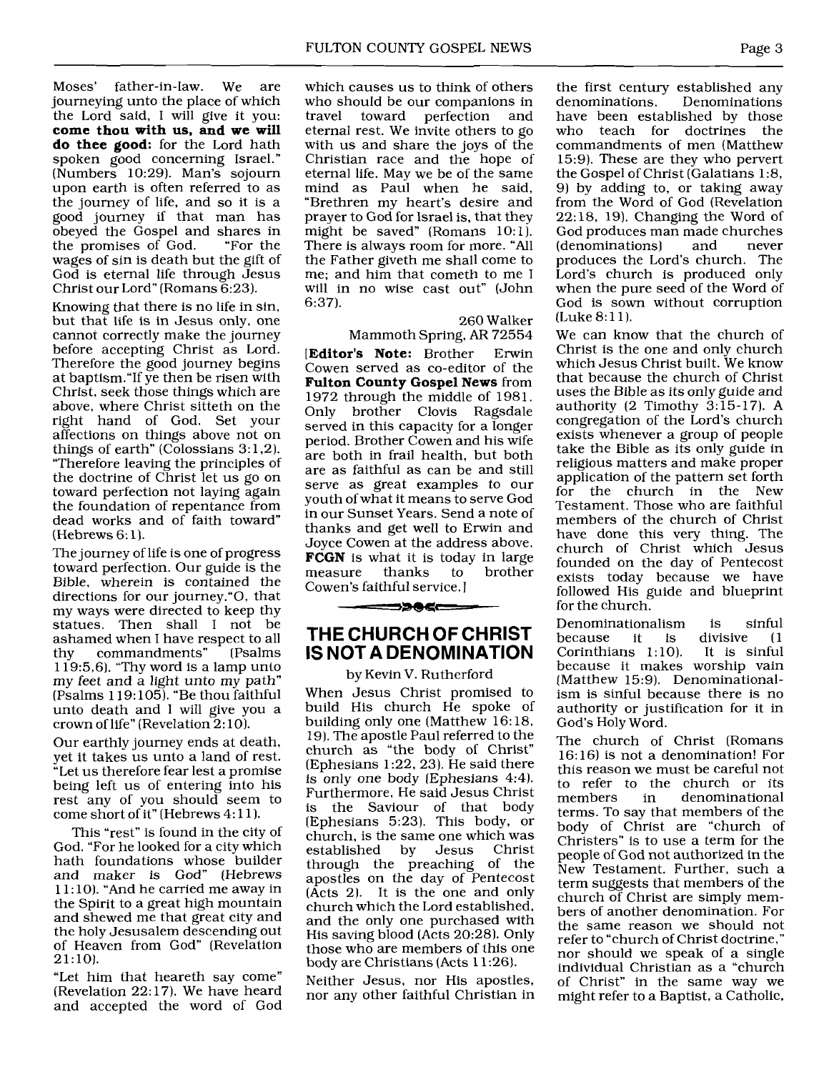Moses' father-in-law. We are journeying unto the place of which the Lord said, I will give it you: **come thou with us, and we will do thee good:** for the Lord hath spoken good concerning Israel." (Numbers 10:29). Man's sojourn upon earth is often referred to as the journey of life, and so it is a good journey if that man has obeyed the Gospel and shares in the promises of God. wages of sin is death but the gift of God is eternal life through Jesus Christ our Lord" (Romans 6:23).

Knowing that there is no life in sin, but that life is in Jesus only, one cannot correctly make the journey before accepting Christ as Lord. Therefore the good journey begins at baptism."If ye then be risen with Christ, seek those things which are above, where Christ sitteth on the right hand of God. Set your affections on things above not on things of earth" (Colossians  $3:1,2$ ). "Therefore leaving the principles of the doctrine of Christ let us go on toward perfection not laying again the foundation of repentance from dead works and of faith toward" (Hebrews 6: 1).

The journey of life is one of progress toward perfection. Our guide is the Bible, wherein is contained the directions for our journey."O, that my ways were directed to keep thy statues. Then shall I not be ashamed when I have respect to all<br>thy commandments" [Psalms thy commandments"  $119:5,6$ . "Thy word is a lamp unto my feet and a light unto my path" (Psalms 119: 105). "Be thou faithful unto death and I will give you a crown of life" (Revelation 2: 10).

Our earthly journey ends at death, yet it takes us unto a land of rest. "Let us therefore fear lest a promise being left us of entering into his rest any of you should seem to come short of it" (Hebrews 4:11).

This "rest" is found in the city of God. "For he looked for a city which hath foundations whose builder and maker is God" (Hebrews 1 1 : 10). "And he carried me away in the Spirit to a great high mountain and shewed me that great city and the holy Jesusalem descending out of Heaven from God" (Revelation 21:lO).

"Let him that heareth say come" (Revelation 22:17). We have heard and accepted the word of God

which causes us to think of others who should be our companions in<br>travel toward perfection and toward perfection eternal rest. We invite others to go with us and share the joys of the Christian race and the hope of eternal life. May we be of the same mind as Paul when he said, "Brethren my heart's desire and prayer to God for Israel is, that they might be saved" (Romans 10:l). There is always room for more. "All the Father giveth me shall come to me; and him that cometh to me I will in no wise cast out" (John 6:37).

260 Walker

Mammoth Spring, AR 72554 **[Editor's Note:** Brother Erwin Cowen served as co-editor of the **Fulton County Gospel News** from 1972 through the middle of 1981. Only brother Clovis Ragsdale served in this capacity for a longer period. Brother Cowen and his wife are both in frail health, but both are as faithful as can be and still serve as great examples to our youth of what it means to serve God in our Sunset Years. Send a note of thanks and get well to Erwin and Joyce Cowen at the address above. **FCGN** is what it is today in large<br>measure thanks to brother measure that Cowen's faithful service. I

## **THE CHURCH OF CHRIST IS NOT A DENOMINATION**

==>>0<===

#### by Kevin V. Rutherford

When Jesus Christ promised to build His church He spoke of building only one (Matthew 16: 18, 19). The apostle Paul referred to the church as "the body of Christ" (Ephesians 1:22, 23). He said there is only one body (Ephesians 4:4). Furthermore, He said Jesus Christ is the Saviour of that body [Ephesians 5:23). This body, or church, is the same one which was<br>established by Jesus Christ established by Jesus through the preaching of the apostles on the day of Pentecost (Acts 2). It is the one and only church which the Lord established, and the only one purchased with His saving blood (Acts 20:28). Only those who are members of this one body are Christians (Acts 11:26).

Neither Jesus, nor His apostles, nor any other faithful Christian in the first century established any<br>denominations. Denominations Denominations. have been established by those who teach for doctrines the commandments of men (Matthew 15:9). These are they who pervert the Gospel of Christ (Galatians 1:8, 9) by adding to, or taking away from the Word of God (Revelation 22: 18, 19). Changing the Word of God produces man made churches<br>(denominations) and never (denominations) produces the Lord's church. The Lord's church is produced only when the pure seed of the Word of God is sown without corruption (Luke 8:11).

We can know that the church of Christ is the one and only church which Jesus Christ built. We know that because the church of Christ uses the Bible as its only guide and authority (2 Timothy  $3:\overline{15} - 17$ ). A congregation of the Lord's church exists whenever a group of people take the Bible as its only guide in religious matters and make proper application of the pattern set forth for the church in the New Testament. Those who are faithful members of the church of Christ have done this very thing. The church of Christ which Jesus founded on the day of Pentecost exists today because we have followed His guide and blueprint for the church.

Denominationalism is sinful it is divisive  $(1$ <br>is  $1:10$ ). It is sinful Corinthians  $1:10$ ). because it makes worship vain [Matthew 15:9). Denominationalism is sinful because there is no authority or justification for it in God's Holy Word.

The church of Christ (Romans 16: 161 is not a denomination! For this reason we must be careful not to refer to the church or its members in denominational terms. To say that members of the body of Christ are "church of Christers" is to use a term for the people of God not authorized in the New Testament. Further, such a term suggests that members of the church of Christ are simply members of another denomination. For the same reason we should not refer to "church of Christ doctrine," nor should we speak of a single individual Christian as a "church of Christ" in the same way we might refer to a Baptist, a Catholic,